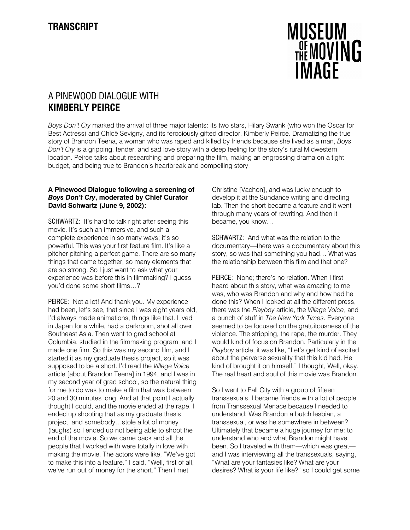

## A PINEWOOD DIALOGUE WITH KIMBERLY PEIRCE

Boys Don't Cry marked the arrival of three major talents: its two stars, Hilary Swank (who won the Oscar for Best Actress) and Chloë Sevigny, and its ferociously gifted director, Kimberly Peirce. Dramatizing the true story of Brandon Teena, a woman who was raped and killed by friends because she lived as a man, Boys Don't Cry is a gripping, tender, and sad love story with a deep feeling for the story's rural Midwestern location. Peirce talks about researching and preparing the film, making an engrossing drama on a tight budget, and being true to Brandon's heartbreak and compelling story.

## A Pinewood Dialogue following a screening of Boys Don't Cry, moderated by Chief Curator David Schwartz (June 9, 2002):

SCHWARTZ: It's hard to talk right after seeing this movie. It's such an immersive, and such a complete experience in so many ways; it's so powerful. This was your first feature film. It's like a pitcher pitching a perfect game. There are so many things that came together, so many elements that are so strong. So I just want to ask what your experience was before this in filmmaking? I guess you'd done some short films…?

PEIRCE: Not a lot! And thank you. My experience had been, let's see, that since I was eight years old, I'd always made animations, things like that. Lived in Japan for a while, had a darkroom, shot all over Southeast Asia. Then went to grad school at Columbia, studied in the filmmaking program, and I made one film. So this was my second film, and I started it as my graduate thesis project, so it was supposed to be a short. I'd read the Village Voice article [about Brandon Teena] in 1994, and I was in my second year of grad school, so the natural thing for me to do was to make a film that was between 20 and 30 minutes long. And at that point I actually thought I could, and the movie ended at the rape. I ended up shooting that as my graduate thesis project, and somebody…stole a lot of money (laughs) so I ended up not being able to shoot the end of the movie. So we came back and all the people that I worked with were totally in love with making the movie. The actors were like, "We've got to make this into a feature." I said, "Well, first of all, we've run out of money for the short." Then I met

Christine [Vachon], and was lucky enough to develop it at the Sundance writing and directing lab. Then the short became a feature and it went through many years of rewriting. And then it became, you know…

SCHWARTZ: And what was the relation to the documentary—there was a documentary about this story, so was that something you had… What was the relationship between this film and that one?

PEIRCE: None; there's no relation. When I first heard about this story, what was amazing to me was, who was Brandon and why and how had he done this? When I looked at all the different press, there was the Playboy article, the Village Voice, and a bunch of stuff in The New York Times. Everyone seemed to be focused on the gratuitousness of the violence. The stripping, the rape, the murder. They would kind of focus on Brandon. Particularly in the Playboy article, it was like, "Let's get kind of excited about the perverse sexuality that this kid had. He kind of brought it on himself." I thought, Well, okay. The real heart and soul of this movie was Brandon.

So I went to Fall City with a group of fifteen transsexuals. I became friends with a lot of people from Transsexual Menace because I needed to understand: Was Brandon a butch lesbian, a transsexual, or was he somewhere in between? Ultimately that became a huge journey for me: to understand who and what Brandon might have been. So I traveled with them—which was great and I was interviewing all the transsexuals, saying, "What are your fantasies like? What are your desires? What is your life like?" so I could get some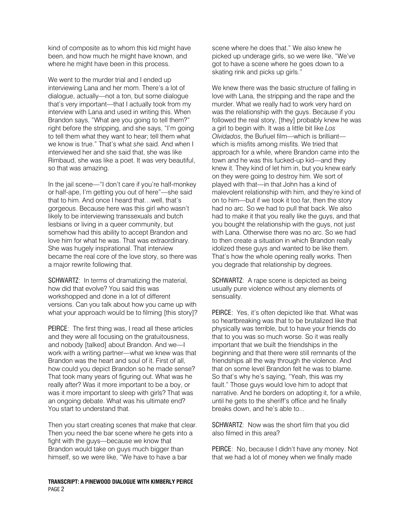kind of composite as to whom this kid might have been, and how much he might have known, and where he might have been in this process.

We went to the murder trial and I ended up interviewing Lana and her mom. There's a lot of dialogue, actually—not a ton, but some dialogue that's very important—that I actually took from my interview with Lana and used in writing this. When Brandon says, "What are you going to tell them?" right before the stripping, and she says, "I'm going to tell them what they want to hear; tell them what we know is true." That's what she said. And when I interviewed her and she said that, she was like Rimbaud, she was like a poet. It was very beautiful, so that was amazing.

In the jail scene—"I don't care if you're half-monkey or half-ape, I'm getting you out of here"—she said that to him. And once I heard that…well, that's gorgeous. Because here was this girl who wasn't likely to be interviewing transsexuals and butch lesbians or living in a queer community, but somehow had this ability to accept Brandon and love him for what he was. That was extraordinary. She was hugely inspirational. That interview became the real core of the love story, so there was a major rewrite following that.

SCHWARTZ: In terms of dramatizing the material, how did that evolve? You said this was workshopped and done in a lot of different versions. Can you talk about how you came up with what your approach would be to filming [this story]?

PEIRCE: The first thing was, I read all these articles and they were all focusing on the gratuitousness, and nobody [talked] about Brandon. And we—I work with a writing partner—what we knew was that Brandon was the heart and soul of it. First of all, how could you depict Brandon so he made sense? That took many years of figuring out. What was he really after? Was it more important to be a boy, or was it more important to sleep with girls? That was an ongoing debate. What was his ultimate end? You start to understand that.

Then you start creating scenes that make that clear. Then you need the bar scene where he gets into a fight with the guys—because we know that Brandon would take on guys much bigger than himself, so we were like, "We have to have a bar

TRANSCRIPT: A PINEWOOD DIALOGUE WITH KIMBERLY PEIRCE PAGE 2

scene where he does that." We also knew he picked up underage girls, so we were like, "We've got to have a scene where he goes down to a skating rink and picks up girls."

We knew there was the basic structure of falling in love with Lana, the stripping and the rape and the murder. What we really had to work very hard on was the relationship with the guys. Because if you followed the real story, [they] probably knew he was a girl to begin with. It was a little bit like Los Olvidados, the Buñuel film—which is brilliant which is misfits among misfits. We tried that approach for a while, where Brandon came into the town and he was this fucked-up kid—and they knew it. They kind of let him in, but you knew early on they were going to destroy him. We sort of played with that—in that John has a kind of malevolent relationship with him, and they're kind of on to him—but if we took it too far, then the story had no arc. So we had to pull that back. We also had to make it that you really like the guys, and that you bought the relationship with the guys, not just with Lana. Otherwise there was no arc. So we had to then create a situation in which Brandon really idolized these guys and wanted to be like them. That's how the whole opening really works. Then you degrade that relationship by degrees.

SCHWARTZ: A rape scene is depicted as being usually pure violence without any elements of sensuality.

PEIRCE: Yes, it's often depicted like that. What was so heartbreaking was that to be brutalized like that physically was terrible, but to have your friends do that to you was so much worse. So it was really important that we built the friendships in the beginning and that there were still remnants of the friendships all the way through the violence. And that on some level Brandon felt he was to blame. So that's why he's saying, "Yeah, this was my fault." Those guys would love him to adopt that narrative. And he borders on adopting it, for a while, until he gets to the sheriff's office and he finally breaks down, and he's able to...

SCHWARTZ: Now was the short film that you did also filmed in this area?

PEIRCE: No, because I didn't have any money. Not that we had a lot of money when we finally made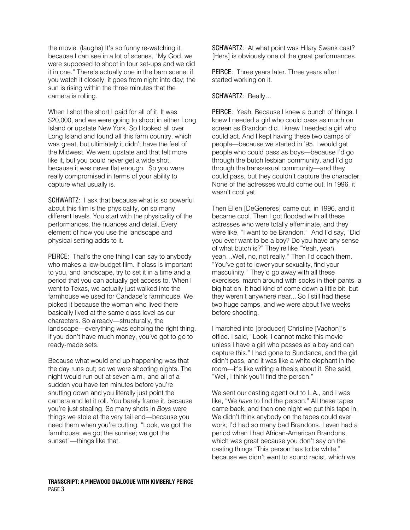the movie. (laughs) It's so funny re-watching it, because I can see in a lot of scenes, "My God, we were supposed to shoot in four set-ups and we did it in one." There's actually one in the barn scene: if you watch it closely, it goes from night into day; the sun is rising within the three minutes that the camera is rolling.

When I shot the short I paid for all of it. It was \$20,000, and we were going to shoot in either Long Island or upstate New York. So I looked all over Long Island and found all this farm country, which was great, but ultimately it didn't have the feel of the Midwest. We went upstate and that felt more like it, but you could never get a wide shot, because it was never flat enough. So you were really compromised in terms of your ability to capture what usually is.

SCHWARTZ: I ask that because what is so powerful about this film is the physicality, on so many different levels. You start with the physicality of the performances, the nuances and detail. Every element of how you use the landscape and physical setting adds to it.

PEIRCE: That's the one thing I can say to anybody who makes a low-budget film. If class is important to you, and landscape, try to set it in a time and a period that you can actually get access to. When I went to Texas, we actually just walked into the farmhouse we used for Candace's farmhouse. We picked it because the woman who lived there basically lived at the same class level as our characters. So already—structurally, the landscape—everything was echoing the right thing. If you don't have much money, you've got to go to ready-made sets.

Because what would end up happening was that the day runs out; so we were shooting nights. The night would run out at seven a.m., and all of a sudden you have ten minutes before you're shutting down and you literally just point the camera and let it roll. You barely frame it, because you're just stealing. So many shots in Boys were things we stole at the very tail end—because you need them when you're cutting. "Look, we got the farmhouse; we got the sunrise; we got the sunset"—things like that.

SCHWARTZ: At what point was Hilary Swank cast? [Hers] is obviously one of the great performances.

PEIRCE: Three years later. Three years after I started working on it.

## SCHWARTZ: Really…

PEIRCE: Yeah. Because I knew a bunch of things. I knew I needed a girl who could pass as much on screen as Brandon did. I knew I needed a girl who could act. And I kept having these two camps of people—because we started in '95. I would get people who could pass as boys—because I'd go through the butch lesbian community, and I'd go through the transsexual community—and they could pass, but they couldn't capture the character. None of the actresses would come out. In 1996, it wasn't cool yet.

Then Ellen [DeGeneres] came out, in 1996, and it became cool. Then I got flooded with all these actresses who were totally effeminate, and they were like, "I want to be Brandon." And I'd say, "Did you ever want to be a boy? Do you have any sense of what butch is?" They're like "Yeah, yeah, yeah…Well, no, not really." Then I'd coach them. "You've got to lower your sexuality, find your masculinity." They'd go away with all these exercises, march around with socks in their pants, a big hat on. It had kind of come down a little bit, but they weren't anywhere near... So I still had these two huge camps, and we were about five weeks before shooting.

I marched into [producer] Christine [Vachon]'s office. I said, "Look, I cannot make this movie unless I have a girl who passes as a boy and can capture this." I had gone to Sundance, and the girl didn't pass, and it was like a white elephant in the room—it's like writing a thesis about it. She said, "Well, I think you'll find the person."

We sent our casting agent out to L.A., and I was like, "We have to find the person." All these tapes came back, and then one night we put this tape in. We didn't think anybody on the tapes could ever work; I'd had so many bad Brandons. I even had a period when I had African-American Brandons, which was great because you don't say on the casting things "This person has to be white," because we didn't want to sound racist, which we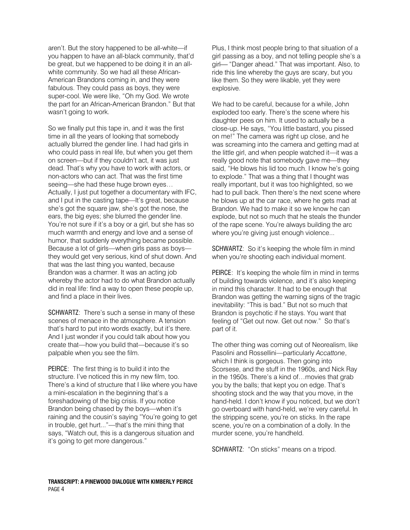aren't. But the story happened to be all-white—if you happen to have an all-black community, that'd be great, but we happened to be doing it in an allwhite community. So we had all these African-American Brandons coming in, and they were fabulous. They could pass as boys, they were super-cool. We were like, "Oh my God. We wrote the part for an African-American Brandon." But that wasn't going to work.

So we finally put this tape in, and it was the first time in all the years of looking that somebody actually blurred the gender line. I had had girls in who could pass in real life, but when you get them on screen—but if they couldn't act, it was just dead. That's why you have to work with actors, or non-actors who can act. That was the first time seeing—she had these huge brown eyes… Actually, I just put together a documentary with IFC. and I put in the casting tape—It's great, because she's got the square jaw, she's got the nose, the ears, the big eyes; she blurred the gender line. You're not sure if it's a boy or a girl, but she has so much warmth and energy and love and a sense of humor, that suddenly everything became possible. Because a lot of girls—when girls pass as boys they would get very serious, kind of shut down. And that was the last thing you wanted, because Brandon was a charmer. It was an acting job whereby the actor had to do what Brandon actually did in real life: find a way to open these people up, and find a place in their lives.

SCHWARTZ: There's such a sense in many of these scenes of menace in the atmosphere. A tension that's hard to put into words exactly, but it's there. And I just wonder if you could talk about how you create that—how you build that—because it's so palpable when you see the film.

PEIRCE: The first thing is to build it into the structure. I've noticed this in my new film, too. There's a kind of structure that I like where you have a mini-escalation in the beginning that's a foreshadowing of the big crisis. If you notice Brandon being chased by the boys—when it's raining and the cousin's saying "You're going to get in trouble, get hurt..."—that's the mini thing that says, "Watch out, this is a dangerous situation and it's going to get more dangerous."

Plus, I think most people bring to that situation of a girl passing as a boy, and not telling people she's a girl "Danger ahead." That was important. Also, to ride this line whereby the guys are scary, but you like them. So they were likable, yet they were explosive.

We had to be careful, because for a while, John exploded too early. There's the scene where his daughter pees on him. It used to actually be a close-up. He says, "You little bastard, you pissed on me!" The camera was right up close, and he was screaming into the camera and getting mad at the little girl, and when people watched it—it was a really good note that somebody gave me—they said, "He blows his lid too much. I know he's going to explode." That was a thing that I thought was really important, but it was too highlighted, so we had to pull back. Then there's the next scene where he blows up at the car race, where he gets mad at Brandon. We had to make it so we know he can explode, but not so much that he steals the thunder of the rape scene. You're always building the arc where you're giving just enough violence...

SCHWARTZ: So it's keeping the whole film in mind when you're shooting each individual moment.

PEIRCE: It's keeping the whole film in mind in terms of building towards violence, and it's also keeping in mind this character. It had to be enough that Brandon was getting the warning signs of the tragic inevitability: "This is bad." But not so much that Brandon is psychotic if he stays. You want that feeling of "Get out now. Get out now." So that's part of it.

The other thing was coming out of Neorealism, like Pasolini and Rossellini—particularly Accattone, which I think is gorgeous. Then going into Scorsese, and the stuff in the 1960s, and Nick Ray in the 1950s. There's a kind of…movies that grab you by the balls; that kept you on edge. That's shooting stock and the way that you move, in the hand-held. I don't know if you noticed, but we don't go overboard with hand-held, we're very careful. In the stripping scene, you're on sticks. In the rape scene, you're on a combination of a dolly. In the murder scene, you're handheld.

SCHWARTZ: "On sticks" means on a tripod.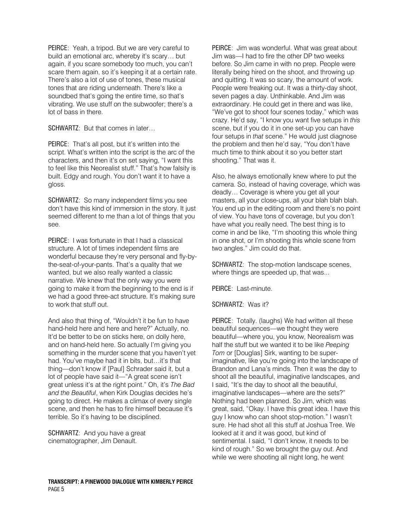PEIRCE: Yeah, a tripod. But we are very careful to build an emotional arc, whereby it's scary… but again, if you scare somebody too much, you can't scare them again, so it's keeping it at a certain rate. There's also a lot of use of tones, these musical tones that are riding underneath. There's like a soundbed that's going the entire time, so that's vibrating. We use stuff on the subwoofer; there's a lot of bass in there.

SCHWARTZ: But that comes in later…

PEIRCE: That's all post, but it's written into the script. What's written into the script is the arc of the characters, and then it's on set saying, "I want this to feel like this Neorealist stuff." That's how falsity is built. Edgy and rough. You don't want it to have a gloss.

SCHWARTZ: So many independent films you see don't have this kind of immersion in the story. It just seemed different to me than a lot of things that you see.

PEIRCE: I was fortunate in that I had a classical structure. A lot of times independent films are wonderful because they're very personal and fly-bythe-seat-of-your-pants. That's a quality that we wanted, but we also really wanted a classic narrative. We knew that the only way you were going to make it from the beginning to the end is if we had a good three-act structure. It's making sure to work that stuff out.

And also that thing of, "Wouldn't it be fun to have hand-held here and here and here?" Actually, no. It'd be better to be on sticks here, on dolly here, and on hand-held here. So actually I'm giving you something in the murder scene that you haven't yet had. You've maybe had it in bits, but…it's that thing—don't know if [Paul] Schrader said it, but a lot of people have said it—"A great scene isn't great unless it's at the right point." Oh, it's The Bad and the Beautiful, when Kirk Douglas decides he's going to direct. He makes a climax of every single scene, and then he has to fire himself because it's terrible. So it's having to be disciplined.

SCHWARTZ: And you have a great cinematographer, Jim Denault.

PEIRCE: Jim was wonderful. What was great about Jim was—I had to fire the other DP two weeks before. So Jim came in with no prep. People were literally being hired on the shoot, and throwing up and quitting. It was so scary, the amount of work. People were freaking out. It was a thirty-day shoot, seven pages a day. Unthinkable. And Jim was extraordinary. He could get in there and was like, "We've got to shoot four scenes today," which was crazy. He'd say, "I know you want five setups in this scene, but if you do it in one set-up you can have four setups in that scene." He would just diagnose the problem and then he'd say, "You don't have much time to think about it so you better start shooting." That was it.

Also, he always emotionally knew where to put the camera. So, instead of having coverage, which was deadly… Coverage is where you get all your masters, all your close-ups, all your blah blah blah. You end up in the editing room and there's no point of view. You have tons of coverage, but you don't have what you really need. The best thing is to come in and be like, "I'm shooting this whole thing in one shot, or I'm shooting this whole scene from two angles." Jim could do that.

SCHWARTZ: The stop-motion landscape scenes, where things are speeded up, that was...

PEIRCE: Last-minute.

SCHWARTZ: Was it?

PEIRCE: Totally. (laughs) We had written all these beautiful sequences—we thought they were beautiful—where you, you know, Neorealism was half the stuff but we wanted it to be like Peeping Tom or [Douglas] Sirk, wanting to be superimaginative, like you're going into the landscape of Brandon and Lana's minds. Then it was the day to shoot all the beautiful, imaginative landscapes, and I said, "It's the day to shoot all the beautiful, imaginative landscapes—where are the sets?" Nothing had been planned. So Jim, which was great, said, "Okay. I have this great idea. I have this guy I know who can shoot stop-motion." I wasn't sure. He had shot all this stuff at Joshua Tree. We looked at it and it was good, but kind of sentimental. I said, "I don't know, it needs to be kind of rough." So we brought the guy out. And while we were shooting all night long, he went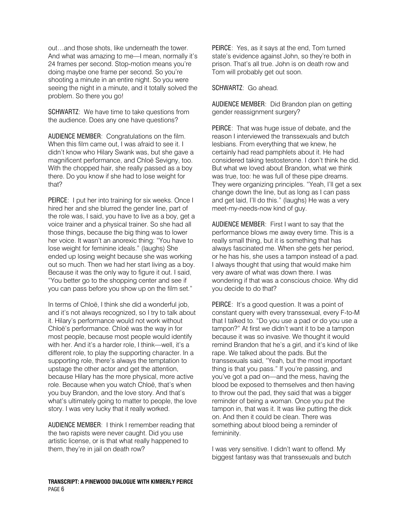out…and those shots, like underneath the tower. And what was amazing to me—I mean, normally it's 24 frames per second. Stop-motion means you're doing maybe one frame per second. So you're shooting a minute in an entire night. So you were seeing the night in a minute, and it totally solved the problem. So there you go!

SCHWARTZ: We have time to take questions from the audience. Does any one have questions?

AUDIENCE MEMBER: Congratulations on the film. When this film came out, I was afraid to see it. I didn't know who Hilary Swank was, but she gave a magnificent performance, and Chloë Sevigny, too. With the chopped hair, she really passed as a boy there. Do you know if she had to lose weight for that?

PEIRCE: I put her into training for six weeks. Once I hired her and she blurred the gender line, part of the role was, I said, you have to live as a boy, get a voice trainer and a physical trainer. So she had all those things, because the big thing was to lower her voice. It wasn't an anorexic thing: "You have to lose weight for feminine ideals." (laughs) She ended up losing weight because she was working out so much. Then we had her start living as a boy. Because it was the only way to figure it out. I said, "You better go to the shopping center and see if you can pass before you show up on the film set."

In terms of Chloë, I think she did a wonderful job, and it's not always recognized, so I try to talk about it. Hilary's performance would not work without Chloë's performance. Chloë was the way in for most people, because most people would identify with her. And it's a harder role, I think—well, it's a different role, to play the supporting character. In a supporting role, there's always the temptation to upstage the other actor and get the attention, because Hilary has the more physical, more active role. Because when you watch Chloë, that's when you buy Brandon, and the love story. And that's what's ultimately going to matter to people, the love story. I was very lucky that it really worked.

AUDIENCE MEMBER: I think I remember reading that the two rapists were never caught. Did you use artistic license, or is that what really happened to them, they're in jail on death row?

PEIRCE: Yes, as it says at the end, Tom turned state's evidence against John, so they're both in prison. That's all true. John is on death row and Tom will probably get out soon.

## SCHWARTZ: Go ahead.

AUDIENCE MEMBER: Did Brandon plan on getting gender reassignment surgery?

PEIRCE: That was huge issue of debate, and the reason I interviewed the transsexuals and butch lesbians. From everything that we knew, he certainly had read pamphlets about it. He had considered taking testosterone. I don't think he did. But what we loved about Brandon, what we think was true, too: he was full of these pipe dreams. They were organizing principles. "Yeah, I'll get a sex change down the line, but as long as I can pass and get laid, I'll do this." (laughs) He was a very meet-my-needs-now kind of guy.

AUDIENCE MEMBER: First I want to say that the performance blows me away every time. This is a really small thing, but it is something that has always fascinated me. When she gets her period, or he has his, she uses a tampon instead of a pad. I always thought that using that would make him very aware of what was down there. I was wondering if that was a conscious choice. Why did you decide to do that?

PEIRCE: It's a good question. It was a point of constant query with every transsexual, every F-to-M that I talked to. "Do you use a pad or do you use a tampon?" At first we didn't want it to be a tampon because it was so invasive. We thought it would remind Brandon that he's a girl, and it's kind of like rape. We talked about the pads. But the transsexuals said, "Yeah, but the most important thing is that you pass." If you're passing, and you've got a pad on—and the mess, having the blood be exposed to themselves and then having to throw out the pad, they said that was a bigger reminder of being a woman. Once you put the tampon in, that was it. It was like putting the dick on. And then it could be clean. There was something about blood being a reminder of femininity.

I was very sensitive. I didn't want to offend. My biggest fantasy was that transsexuals and butch